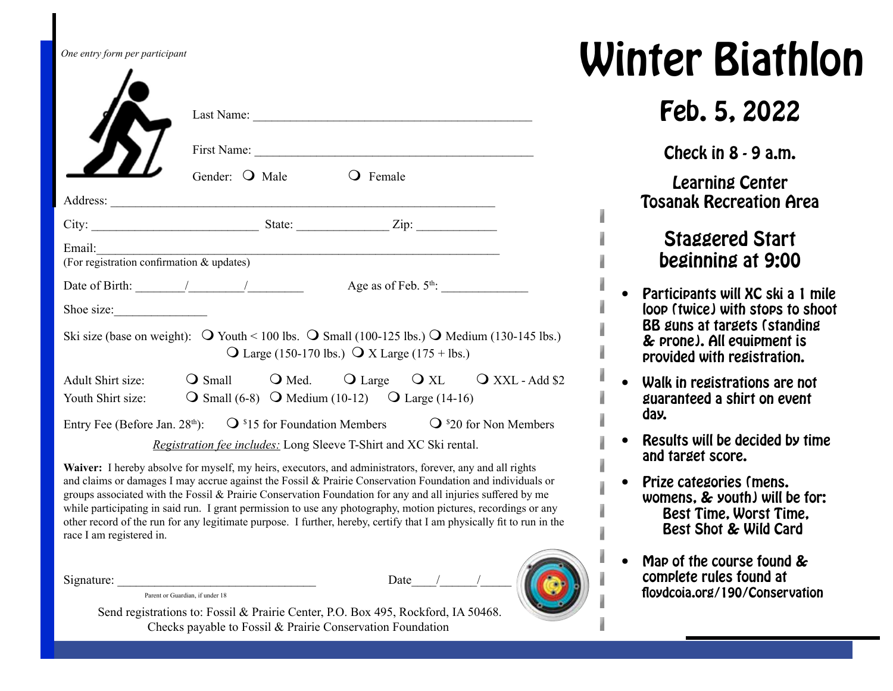| One entry form per participant                                                                                                      |                                                                   |                                                                 |  |  |
|-------------------------------------------------------------------------------------------------------------------------------------|-------------------------------------------------------------------|-----------------------------------------------------------------|--|--|
|                                                                                                                                     |                                                                   |                                                                 |  |  |
|                                                                                                                                     | First Name:                                                       |                                                                 |  |  |
|                                                                                                                                     | Gender: O Male                                                    | <b>O</b> Female                                                 |  |  |
|                                                                                                                                     |                                                                   |                                                                 |  |  |
|                                                                                                                                     |                                                                   |                                                                 |  |  |
| Email:<br>Email:<br>(For registration confirmation & updates)                                                                       |                                                                   |                                                                 |  |  |
| Date of Birth: $\frac{1}{\sqrt{2\pi}}$ / $\frac{1}{\sqrt{2\pi}}$ Age as of Feb. 5 <sup>th</sup> :                                   |                                                                   |                                                                 |  |  |
| Shoe size:                                                                                                                          |                                                                   |                                                                 |  |  |
| Ski size (base on weight): $\overline{Q}$ Youth < 100 lbs. $\overline{Q}$ Small (100-125 lbs.) $\overline{Q}$ Medium (130-145 lbs.) |                                                                   | $\text{Q}$ Large (150-170 lbs.) $\text{Q}$ X Large (175 + lbs.) |  |  |
| Adult Shirt size: <b>O</b> Small <b>O</b> Med. <b>O</b> Large <b>O</b> XL <b>O</b> XXL - Add \$2                                    |                                                                   |                                                                 |  |  |
| Youth Shirt size: $Q \text{ Small } (6-8)$ Q Medium (10-12) Q Large (14-16)                                                         |                                                                   |                                                                 |  |  |
| Entry Fee (Before Jan. 28 <sup>th</sup> ): $Q^{s}15$ for Foundation Members $Q^{s}20$ for Non Members                               |                                                                   |                                                                 |  |  |
|                                                                                                                                     | Registration fee includes: Long Sleeve T-Shirt and XC Ski rental. |                                                                 |  |  |

**Waiver:** I hereby absolve for myself, my heirs, executors, and administrators, forever, any and all rights and claims or damages I may accrue against the Fossil & Prairie Conservation Foundation and individuals or groups associated with the Fossil & Prairie Conservation Foundation for any and all injuries suffered by me while participating in said run. I grant permission to use any photography, motion pictures, recordings or any other record of the run for any legitimate purpose. I further, hereby, certify that I am physically fit to run in the race I am registered in.

Signature: \_\_\_\_\_\_\_\_\_\_\_\_\_\_\_\_\_\_\_\_\_\_\_\_\_\_\_\_\_\_\_\_ Date\_\_\_\_/\_\_\_\_\_\_/\_\_\_\_\_

Parent or Guardian, if under 18

 Send registrations to: Fossil & Prairie Center, P.O. Box 495, Rockford, IA 50468. Checks payable to Fossil & Prairie Conservation Foundation

## **Winter Biathlon**

## Feb. 5, 2022

Check in 8 - 9 a.m.

Learning Center Tosanak Recreation Area

## Staggered Start beginning at 9:00

- Participants will XC ski a 1 mile loop (twice) with stops to shoot BB guns at targets (standing & prone). All equipment is provided with registration.
- Walk in registrations are not guaranteed a shirt on event day.
- Results will be decided by time and target score.
- Prize categories (mens. womens, & youth) will be for: Best Time, Worst Time, Best Shot & Wild Card
- Map of the course found & complete rules found at floydcoia.org/190/Conservation